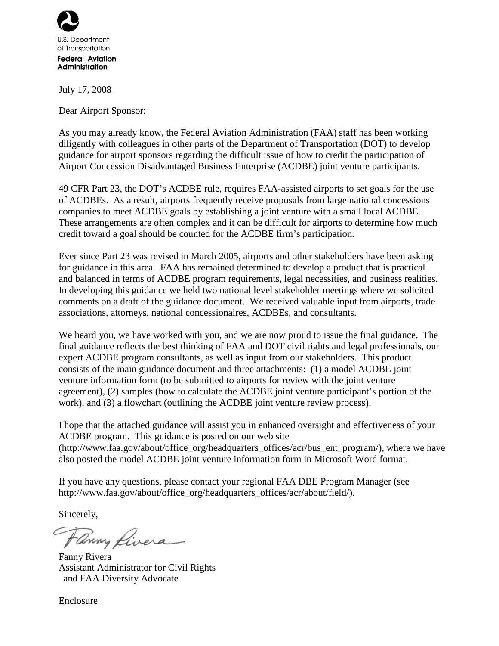

July 17, 2008

Dear Airport Sponsor:

As you may already know, the Federal Aviation Administration (FAA) staff has been working diligently with colleagues in other parts of the Department of Transportation (DOT) to develop guidance for airport sponsors regarding the difficult issue of how to credit the participation of Airport Concession Disadvantaged Business Enterprise (ACDBE) joint venture participants.

49 CFR Part 23, the DOT's ACDBE rule, requires FAA-assisted airports to set goals for the use of ACDBEs. As a result, airports frequently receive proposals from large national concessions companies to meet ACDBE goals by establishing a joint venture with a small local ACDBE. These arrangements are often complex and it can be difficult for airports to determine how much credit toward a goal should be counted for the ACDBE firm's participation.

Ever since Part 23 was revised in March 2005, airports and other stakeholders have been asking for guidance in this area. FAA has remained determined to develop a product that is practical and balanced in terms of ACDBE program requirements, legal necessities, and business realities. In developing this guidance we held two national level stakeholder meetings where we solicited comments on a draft of the guidance document. We received valuable input from airports, trade associations, attorneys, national concessionaires, ACDBEs, and consultants.

We heard you, we have worked with you, and we are now proud to issue the final guidance. The final guidance reflects the best thinking of FAA and DOT civil rights and legal professionals, our expert ACDBE program consultants, as well as input from our stakeholders. This product consists of the main guidance document and three attachments: (1) a model ACDBE joint venture information form (to be submitted to airports for review with the joint venture agreement), (2) samples (how to calculate the ACDBE joint venture participant's portion of the work), and (3) a flowchart (outlining the ACDBE joint venture review process).

I hope that the attached guidance will assist you in enhanced oversight and effectiveness of your ACDBE program. This guidance is posted on our web site (http://www.faa.gov/about/office\_org/headquarters\_offices/acr/bus\_ent\_program/), where we have also posted the model ACDBE joint venture information form in Microsoft Word format.

If you have any questions, please contact your regional FAA DBE Program Manager (see http://www.faa.gov/about/office\_org/headquarters\_offices/acr/about/field/).

Sincerely,

Fanny Livera

Fanny Rivera Assistant Administrator for Civil Rights and FAA Diversity Advocate

Enclosure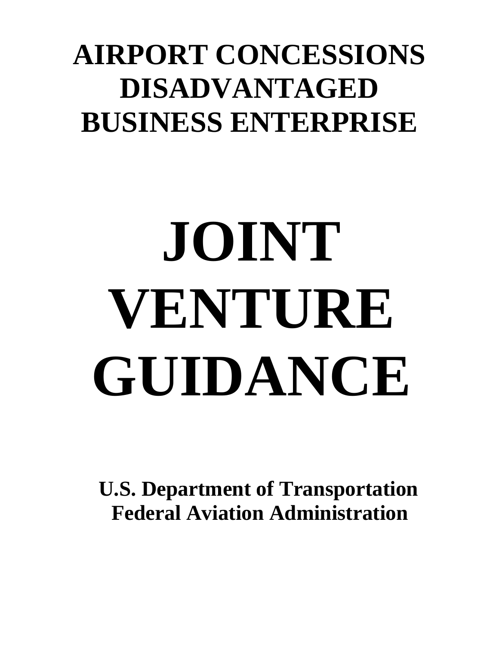## **AIRPORT CONCESSIONS DISADVANTAGED BUSINESS ENTERPRISE**

# **JOINT VENTURE GUIDANCE**

 **U.S. Department of Transportation Federal Aviation Administration**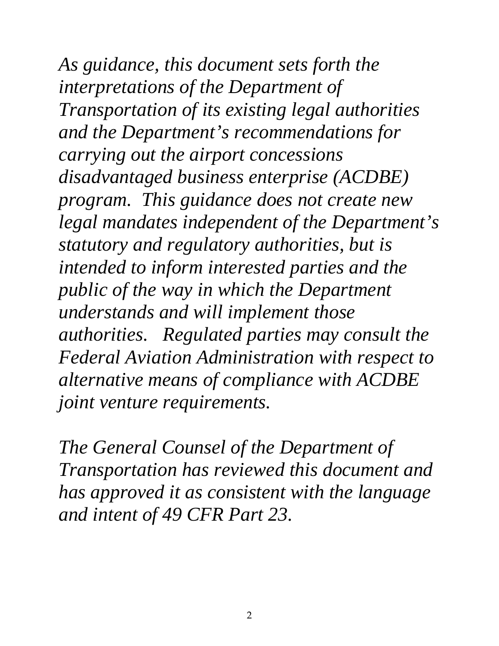*As guidance, this document sets forth the interpretations of the Department of Transportation of its existing legal authorities and the Department's recommendations for carrying out the airport concessions disadvantaged business enterprise (ACDBE) program. This guidance does not create new legal mandates independent of the Department's statutory and regulatory authorities, but is intended to inform interested parties and the public of the way in which the Department understands and will implement those authorities. Regulated parties may consult the Federal Aviation Administration with respect to alternative means of compliance with ACDBE joint venture requirements.* 

*The General Counsel of the Department of Transportation has reviewed this document and has approved it as consistent with the language and intent of 49 CFR Part 23.*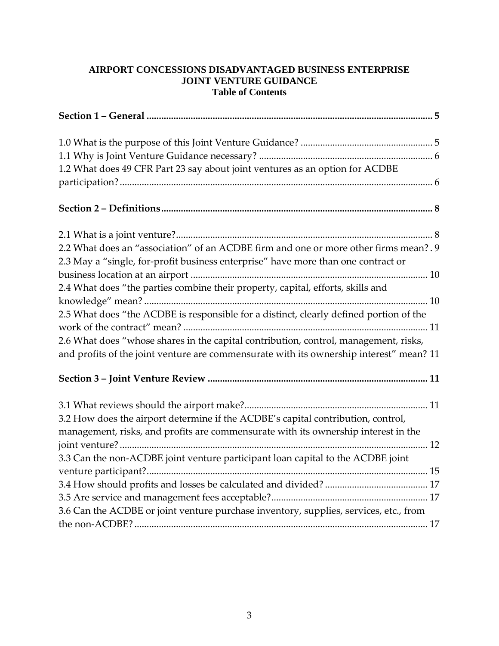#### **AIRPORT CONCESSIONS DISADVANTAGED BUSINESS ENTERPRISE JOINT VENTURE GUIDANCE Table of Contents**

| 1.2 What does 49 CFR Part 23 say about joint ventures as an option for ACDBE            |
|-----------------------------------------------------------------------------------------|
|                                                                                         |
|                                                                                         |
|                                                                                         |
| 2.2 What does an "association" of an ACDBE firm and one or more other firms mean?. 9    |
| 2.3 May a "single, for-profit business enterprise" have more than one contract or       |
|                                                                                         |
| 2.4 What does "the parties combine their property, capital, efforts, skills and         |
|                                                                                         |
| 2.5 What does "the ACDBE is responsible for a distinct, clearly defined portion of the  |
|                                                                                         |
| 2.6 What does "whose shares in the capital contribution, control, management, risks,    |
| and profits of the joint venture are commensurate with its ownership interest" mean? 11 |
|                                                                                         |
|                                                                                         |
| 3.2 How does the airport determine if the ACDBE's capital contribution, control,        |
| management, risks, and profits are commensurate with its ownership interest in the      |
|                                                                                         |
| 3.3 Can the non-ACDBE joint venture participant loan capital to the ACDBE joint         |
|                                                                                         |
|                                                                                         |
|                                                                                         |
| 3.6 Can the ACDBE or joint venture purchase inventory, supplies, services, etc., from   |
|                                                                                         |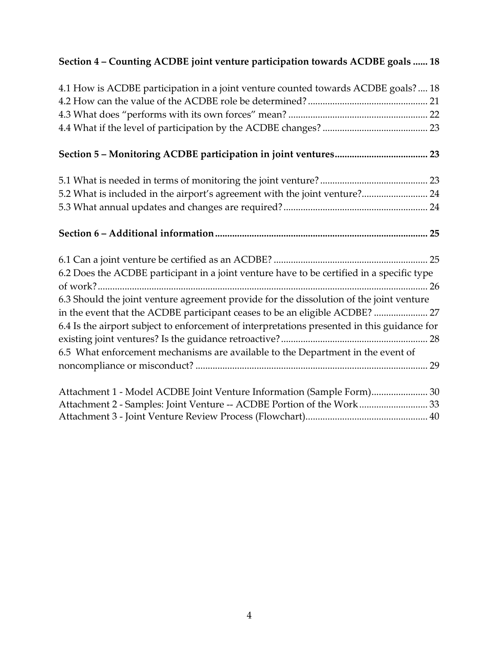#### **Section 4 – Counting ACDBE joint venture participation towards ACDBE goals ...... 18**

| 4.1 How is ACDBE participation in a joint venture counted towards ACDBE goals?  18                                                             |
|------------------------------------------------------------------------------------------------------------------------------------------------|
|                                                                                                                                                |
|                                                                                                                                                |
|                                                                                                                                                |
|                                                                                                                                                |
|                                                                                                                                                |
| 5.2 What is included in the airport's agreement with the joint venture? 24                                                                     |
|                                                                                                                                                |
|                                                                                                                                                |
|                                                                                                                                                |
| 6.2 Does the ACDBE participant in a joint venture have to be certified in a specific type                                                      |
|                                                                                                                                                |
| 6.3 Should the joint venture agreement provide for the dissolution of the joint venture                                                        |
| in the event that the ACDBE participant ceases to be an eligible ACDBE?  27                                                                    |
| 6.4 Is the airport subject to enforcement of interpretations presented in this guidance for                                                    |
|                                                                                                                                                |
| 6.5 What enforcement mechanisms are available to the Department in the event of                                                                |
|                                                                                                                                                |
|                                                                                                                                                |
|                                                                                                                                                |
| Attachment 1 - Model ACDBE Joint Venture Information (Sample Form) 30<br>Attachment 2 - Samples: Joint Venture -- ACDBE Portion of the Work 33 |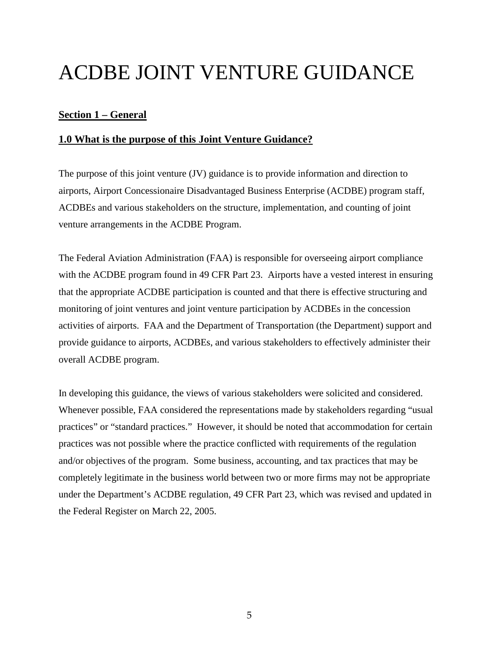### ACDBE JOINT VENTURE GUIDANCE

#### **Section 1 – General**

#### **1.0 What is the purpose of this Joint Venture Guidance?**

The purpose of this joint venture (JV) guidance is to provide information and direction to airports, Airport Concessionaire Disadvantaged Business Enterprise (ACDBE) program staff, ACDBEs and various stakeholders on the structure, implementation, and counting of joint venture arrangements in the ACDBE Program.

The Federal Aviation Administration (FAA) is responsible for overseeing airport compliance with the ACDBE program found in 49 CFR Part 23. Airports have a vested interest in ensuring that the appropriate ACDBE participation is counted and that there is effective structuring and monitoring of joint ventures and joint venture participation by ACDBEs in the concession activities of airports. FAA and the Department of Transportation (the Department) support and provide guidance to airports, ACDBEs, and various stakeholders to effectively administer their overall ACDBE program.

In developing this guidance, the views of various stakeholders were solicited and considered. Whenever possible, FAA considered the representations made by stakeholders regarding "usual practices" or "standard practices." However, it should be noted that accommodation for certain practices was not possible where the practice conflicted with requirements of the regulation and/or objectives of the program. Some business, accounting, and tax practices that may be completely legitimate in the business world between two or more firms may not be appropriate under the Department's ACDBE regulation, 49 CFR Part 23, which was revised and updated in the Federal Register on March 22, 2005.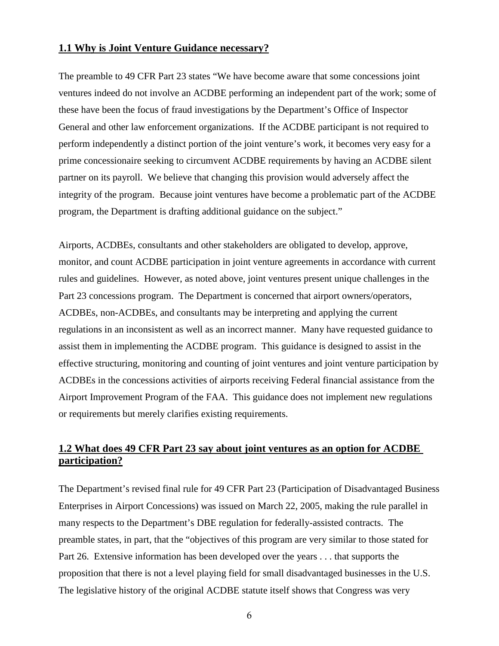#### **1.1 Why is Joint Venture Guidance necessary?**

The preamble to 49 CFR Part 23 states "We have become aware that some concessions joint ventures indeed do not involve an ACDBE performing an independent part of the work; some of these have been the focus of fraud investigations by the Department's Office of Inspector General and other law enforcement organizations. If the ACDBE participant is not required to perform independently a distinct portion of the joint venture's work, it becomes very easy for a prime concessionaire seeking to circumvent ACDBE requirements by having an ACDBE silent partner on its payroll. We believe that changing this provision would adversely affect the integrity of the program. Because joint ventures have become a problematic part of the ACDBE program, the Department is drafting additional guidance on the subject."

Airports, ACDBEs, consultants and other stakeholders are obligated to develop, approve, monitor, and count ACDBE participation in joint venture agreements in accordance with current rules and guidelines. However, as noted above, joint ventures present unique challenges in the Part 23 concessions program. The Department is concerned that airport owners/operators, ACDBEs, non-ACDBEs, and consultants may be interpreting and applying the current regulations in an inconsistent as well as an incorrect manner. Many have requested guidance to assist them in implementing the ACDBE program. This guidance is designed to assist in the effective structuring, monitoring and counting of joint ventures and joint venture participation by ACDBEs in the concessions activities of airports receiving Federal financial assistance from the Airport Improvement Program of the FAA. This guidance does not implement new regulations or requirements but merely clarifies existing requirements.

#### **1.2 What does 49 CFR Part 23 say about joint ventures as an option for ACDBE participation?**

The Department's revised final rule for 49 CFR Part 23 (Participation of Disadvantaged Business Enterprises in Airport Concessions) was issued on March 22, 2005, making the rule parallel in many respects to the Department's DBE regulation for federally-assisted contracts. The preamble states, in part, that the "objectives of this program are very similar to those stated for Part 26. Extensive information has been developed over the years . . . that supports the proposition that there is not a level playing field for small disadvantaged businesses in the U.S. The legislative history of the original ACDBE statute itself shows that Congress was very

6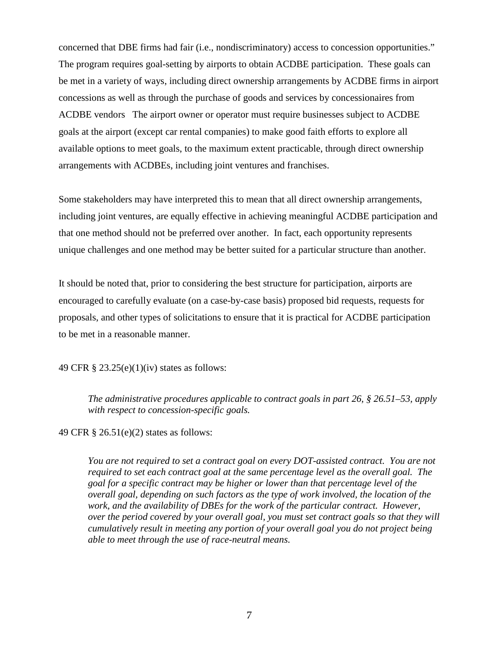concerned that DBE firms had fair (i.e., nondiscriminatory) access to concession opportunities." The program requires goal-setting by airports to obtain ACDBE participation. These goals can be met in a variety of ways, including direct ownership arrangements by ACDBE firms in airport concessions as well as through the purchase of goods and services by concessionaires from ACDBE vendors The airport owner or operator must require businesses subject to ACDBE goals at the airport (except car rental companies) to make good faith efforts to explore all available options to meet goals, to the maximum extent practicable, through direct ownership arrangements with ACDBEs, including joint ventures and franchises.

Some stakeholders may have interpreted this to mean that all direct ownership arrangements, including joint ventures, are equally effective in achieving meaningful ACDBE participation and that one method should not be preferred over another. In fact, each opportunity represents unique challenges and one method may be better suited for a particular structure than another.

It should be noted that, prior to considering the best structure for participation, airports are encouraged to carefully evaluate (on a case-by-case basis) proposed bid requests, requests for proposals, and other types of solicitations to ensure that it is practical for ACDBE participation to be met in a reasonable manner.

49 CFR § 23.25(e)(1)(iv) states as follows:

*The administrative procedures applicable to contract goals in part 26, § 26.51–53, apply with respect to concession-specific goals.*

49 CFR § 26.51(e)(2) states as follows:

*You are not required to set a contract goal on every DOT-assisted contract. You are not required to set each contract goal at the same percentage level as the overall goal. The goal for a specific contract may be higher or lower than that percentage level of the overall goal, depending on such factors as the type of work involved, the location of the work, and the availability of DBEs for the work of the particular contract. However, over the period covered by your overall goal, you must set contract goals so that they will cumulatively result in meeting any portion of your overall goal you do not project being able to meet through the use of race-neutral means.*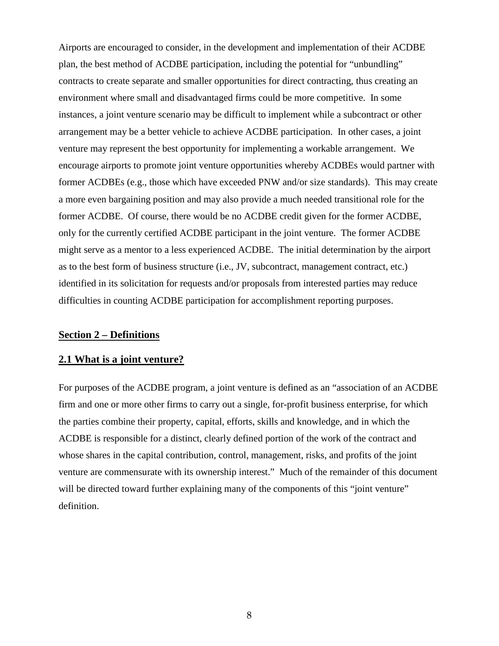Airports are encouraged to consider, in the development and implementation of their ACDBE plan, the best method of ACDBE participation, including the potential for "unbundling" contracts to create separate and smaller opportunities for direct contracting, thus creating an environment where small and disadvantaged firms could be more competitive. In some instances, a joint venture scenario may be difficult to implement while a subcontract or other arrangement may be a better vehicle to achieve ACDBE participation. In other cases, a joint venture may represent the best opportunity for implementing a workable arrangement. We encourage airports to promote joint venture opportunities whereby ACDBEs would partner with former ACDBEs (e.g., those which have exceeded PNW and/or size standards). This may create a more even bargaining position and may also provide a much needed transitional role for the former ACDBE. Of course, there would be no ACDBE credit given for the former ACDBE, only for the currently certified ACDBE participant in the joint venture. The former ACDBE might serve as a mentor to a less experienced ACDBE. The initial determination by the airport as to the best form of business structure (i.e., JV, subcontract, management contract, etc.) identified in its solicitation for requests and/or proposals from interested parties may reduce difficulties in counting ACDBE participation for accomplishment reporting purposes.

#### **Section 2 – Definitions**

#### **2.1 What is a joint venture?**

For purposes of the ACDBE program, a joint venture is defined as an "association of an ACDBE firm and one or more other firms to carry out a single, for-profit business enterprise, for which the parties combine their property, capital, efforts, skills and knowledge, and in which the ACDBE is responsible for a distinct, clearly defined portion of the work of the contract and whose shares in the capital contribution, control, management, risks, and profits of the joint venture are commensurate with its ownership interest." Much of the remainder of this document will be directed toward further explaining many of the components of this "joint venture" definition.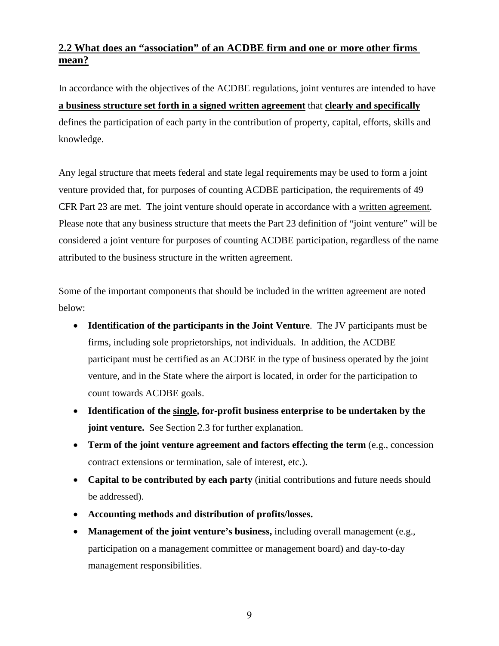#### **2.2 What does an "association" of an ACDBE firm and one or more other firms mean?**

In accordance with the objectives of the ACDBE regulations, joint ventures are intended to have **a business structure set forth in a signed written agreement** that **clearly and specifically** defines the participation of each party in the contribution of property, capital, efforts, skills and knowledge.

Any legal structure that meets federal and state legal requirements may be used to form a joint venture provided that, for purposes of counting ACDBE participation, the requirements of 49 CFR Part 23 are met. The joint venture should operate in accordance with a written agreement. Please note that any business structure that meets the Part 23 definition of "joint venture" will be considered a joint venture for purposes of counting ACDBE participation, regardless of the name attributed to the business structure in the written agreement.

Some of the important components that should be included in the written agreement are noted below:

- **Identification of the participants in the Joint Venture**. The JV participants must be firms, including sole proprietorships, not individuals. In addition, the ACDBE participant must be certified as an ACDBE in the type of business operated by the joint venture, and in the State where the airport is located, in order for the participation to count towards ACDBE goals.
- **Identification of the single, for-profit business enterprise to be undertaken by the joint venture.** See Section 2.3 for further explanation.
- **Term of the joint venture agreement and factors effecting the term** (e.g., concession contract extensions or termination, sale of interest, etc.).
- **Capital to be contributed by each party** (initial contributions and future needs should be addressed).
- **Accounting methods and distribution of profits/losses.**
- **Management of the joint venture's business,** including overall management (e.g., participation on a management committee or management board) and day-to-day management responsibilities.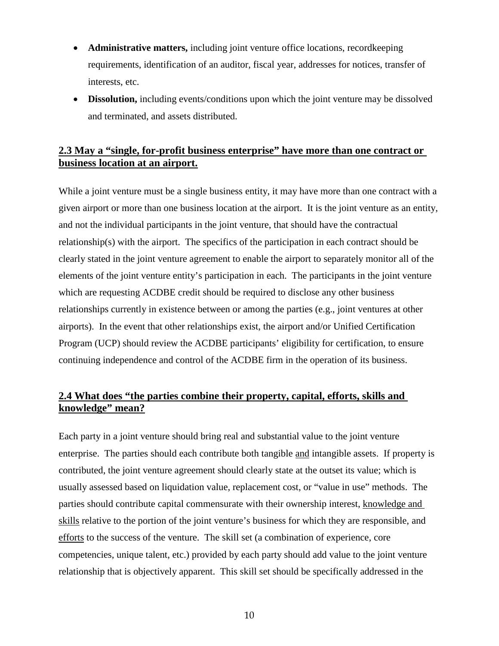- **Administrative matters,** including joint venture office locations, recordkeeping requirements, identification of an auditor, fiscal year, addresses for notices, transfer of interests, etc.
- **Dissolution,** including events/conditions upon which the joint venture may be dissolved and terminated, and assets distributed.

#### **2.3 May a "single, for-profit business enterprise" have more than one contract or business location at an airport.**

While a joint venture must be a single business entity, it may have more than one contract with a given airport or more than one business location at the airport. It is the joint venture as an entity, and not the individual participants in the joint venture, that should have the contractual relationship(s) with the airport. The specifics of the participation in each contract should be clearly stated in the joint venture agreement to enable the airport to separately monitor all of the elements of the joint venture entity's participation in each. The participants in the joint venture which are requesting ACDBE credit should be required to disclose any other business relationships currently in existence between or among the parties (e.g., joint ventures at other airports). In the event that other relationships exist, the airport and/or Unified Certification Program (UCP) should review the ACDBE participants' eligibility for certification, to ensure continuing independence and control of the ACDBE firm in the operation of its business.

#### **2.4 What does "the parties combine their property, capital, efforts, skills and knowledge" mean?**

Each party in a joint venture should bring real and substantial value to the joint venture enterprise. The parties should each contribute both tangible and intangible assets. If property is contributed, the joint venture agreement should clearly state at the outset its value; which is usually assessed based on liquidation value, replacement cost, or "value in use" methods. The parties should contribute capital commensurate with their ownership interest, knowledge and skills relative to the portion of the joint venture's business for which they are responsible, and efforts to the success of the venture. The skill set (a combination of experience, core competencies, unique talent, etc.) provided by each party should add value to the joint venture relationship that is objectively apparent. This skill set should be specifically addressed in the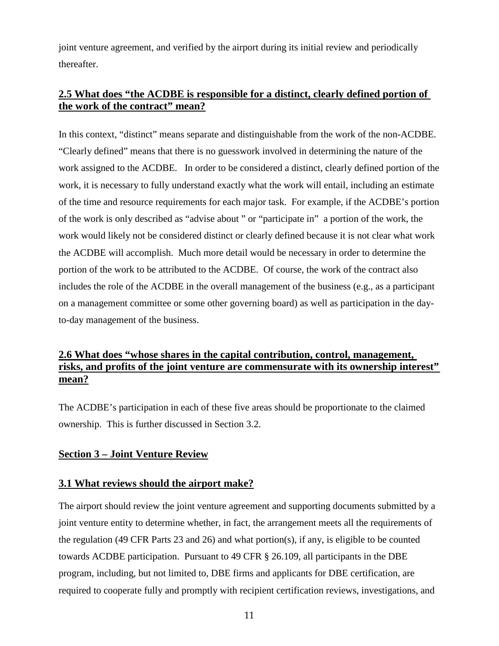joint venture agreement, and verified by the airport during its initial review and periodically thereafter.

#### **2.5 What does "the ACDBE is responsible for a distinct, clearly defined portion of the work of the contract" mean?**

In this context, "distinct" means separate and distinguishable from the work of the non-ACDBE. "Clearly defined" means that there is no guesswork involved in determining the nature of the work assigned to the ACDBE. In order to be considered a distinct, clearly defined portion of the work, it is necessary to fully understand exactly what the work will entail, including an estimate of the time and resource requirements for each major task. For example, if the ACDBE's portion of the work is only described as "advise about " or "participate in" a portion of the work, the work would likely not be considered distinct or clearly defined because it is not clear what work the ACDBE will accomplish. Much more detail would be necessary in order to determine the portion of the work to be attributed to the ACDBE. Of course, the work of the contract also includes the role of the ACDBE in the overall management of the business (e.g., as a participant on a management committee or some other governing board) as well as participation in the dayto-day management of the business.

#### **2.6 What does "whose shares in the capital contribution, control, management, risks, and profits of the joint venture are commensurate with its ownership interest" mean?**

The ACDBE's participation in each of these five areas should be proportionate to the claimed ownership. This is further discussed in Section 3.2.

#### **Section 3 – Joint Venture Review**

#### **3.1 What reviews should the airport make?**

The airport should review the joint venture agreement and supporting documents submitted by a joint venture entity to determine whether, in fact, the arrangement meets all the requirements of the regulation (49 CFR Parts 23 and 26) and what portion(s), if any, is eligible to be counted towards ACDBE participation. Pursuant to 49 CFR § 26.109, all participants in the DBE program, including, but not limited to, DBE firms and applicants for DBE certification, are required to cooperate fully and promptly with recipient certification reviews, investigations, and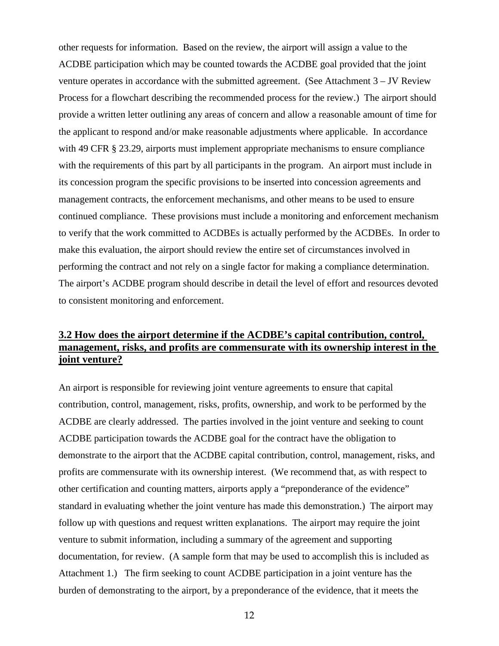other requests for information. Based on the review, the airport will assign a value to the ACDBE participation which may be counted towards the ACDBE goal provided that the joint venture operates in accordance with the submitted agreement. (See Attachment 3 – JV Review Process for a flowchart describing the recommended process for the review.) The airport should provide a written letter outlining any areas of concern and allow a reasonable amount of time for the applicant to respond and/or make reasonable adjustments where applicable. In accordance with 49 CFR § 23.29, airports must implement appropriate mechanisms to ensure compliance with the requirements of this part by all participants in the program. An airport must include in its concession program the specific provisions to be inserted into concession agreements and management contracts, the enforcement mechanisms, and other means to be used to ensure continued compliance. These provisions must include a monitoring and enforcement mechanism to verify that the work committed to ACDBEs is actually performed by the ACDBEs. In order to make this evaluation, the airport should review the entire set of circumstances involved in performing the contract and not rely on a single factor for making a compliance determination. The airport's ACDBE program should describe in detail the level of effort and resources devoted to consistent monitoring and enforcement.

#### **3.2 How does the airport determine if the ACDBE's capital contribution, control, management, risks, and profits are commensurate with its ownership interest in the joint venture?**

An airport is responsible for reviewing joint venture agreements to ensure that capital contribution, control, management, risks, profits, ownership, and work to be performed by the ACDBE are clearly addressed. The parties involved in the joint venture and seeking to count ACDBE participation towards the ACDBE goal for the contract have the obligation to demonstrate to the airport that the ACDBE capital contribution, control, management, risks, and profits are commensurate with its ownership interest. (We recommend that, as with respect to other certification and counting matters, airports apply a "preponderance of the evidence" standard in evaluating whether the joint venture has made this demonstration.) The airport may follow up with questions and request written explanations. The airport may require the joint venture to submit information, including a summary of the agreement and supporting documentation, for review. (A sample form that may be used to accomplish this is included as Attachment 1.) The firm seeking to count ACDBE participation in a joint venture has the burden of demonstrating to the airport, by a preponderance of the evidence, that it meets the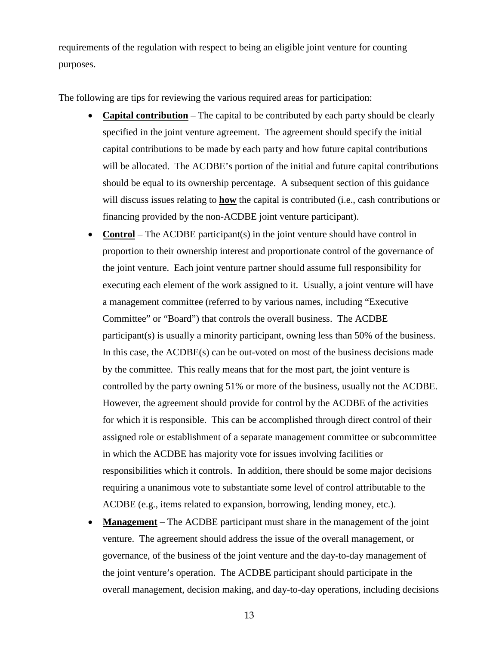requirements of the regulation with respect to being an eligible joint venture for counting purposes.

The following are tips for reviewing the various required areas for participation:

- **Capital contribution** The capital to be contributed by each party should be clearly specified in the joint venture agreement. The agreement should specify the initial capital contributions to be made by each party and how future capital contributions will be allocated. The ACDBE's portion of the initial and future capital contributions should be equal to its ownership percentage. A subsequent section of this guidance will discuss issues relating to **how** the capital is contributed (i.e., cash contributions or financing provided by the non-ACDBE joint venture participant).
- **Control** The ACDBE participant(s) in the joint venture should have control in proportion to their ownership interest and proportionate control of the governance of the joint venture. Each joint venture partner should assume full responsibility for executing each element of the work assigned to it. Usually, a joint venture will have a management committee (referred to by various names, including "Executive Committee" or "Board") that controls the overall business. The ACDBE participant(s) is usually a minority participant, owning less than 50% of the business. In this case, the ACDBE(s) can be out-voted on most of the business decisions made by the committee. This really means that for the most part, the joint venture is controlled by the party owning 51% or more of the business, usually not the ACDBE. However, the agreement should provide for control by the ACDBE of the activities for which it is responsible. This can be accomplished through direct control of their assigned role or establishment of a separate management committee or subcommittee in which the ACDBE has majority vote for issues involving facilities or responsibilities which it controls. In addition, there should be some major decisions requiring a unanimous vote to substantiate some level of control attributable to the ACDBE (e.g., items related to expansion, borrowing, lending money, etc.).
- **Management** The ACDBE participant must share in the management of the joint venture. The agreement should address the issue of the overall management, or governance, of the business of the joint venture and the day-to-day management of the joint venture's operation. The ACDBE participant should participate in the overall management, decision making, and day-to-day operations, including decisions

13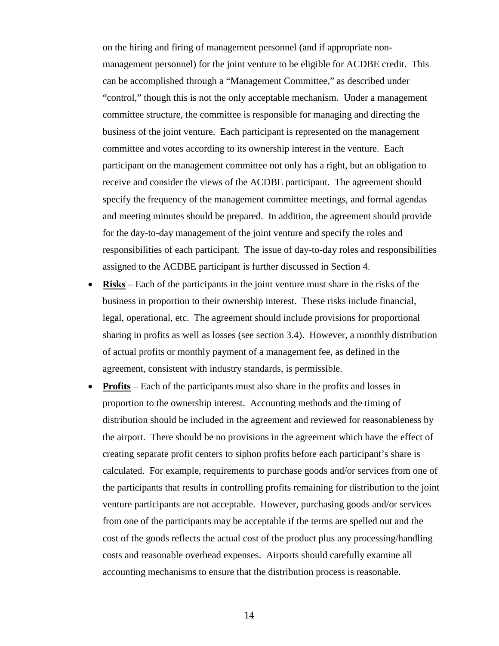on the hiring and firing of management personnel (and if appropriate nonmanagement personnel) for the joint venture to be eligible for ACDBE credit. This can be accomplished through a "Management Committee," as described under "control," though this is not the only acceptable mechanism. Under a management committee structure, the committee is responsible for managing and directing the business of the joint venture. Each participant is represented on the management committee and votes according to its ownership interest in the venture. Each participant on the management committee not only has a right, but an obligation to receive and consider the views of the ACDBE participant. The agreement should specify the frequency of the management committee meetings, and formal agendas and meeting minutes should be prepared. In addition, the agreement should provide for the day-to-day management of the joint venture and specify the roles and responsibilities of each participant. The issue of day-to-day roles and responsibilities assigned to the ACDBE participant is further discussed in Section 4.

- **Risks** Each of the participants in the joint venture must share in the risks of the business in proportion to their ownership interest. These risks include financial, legal, operational, etc. The agreement should include provisions for proportional sharing in profits as well as losses (see section 3.4). However, a monthly distribution of actual profits or monthly payment of a management fee, as defined in the agreement, consistent with industry standards, is permissible.
- **Profits** Each of the participants must also share in the profits and losses in proportion to the ownership interest. Accounting methods and the timing of distribution should be included in the agreement and reviewed for reasonableness by the airport. There should be no provisions in the agreement which have the effect of creating separate profit centers to siphon profits before each participant's share is calculated. For example, requirements to purchase goods and/or services from one of the participants that results in controlling profits remaining for distribution to the joint venture participants are not acceptable. However, purchasing goods and/or services from one of the participants may be acceptable if the terms are spelled out and the cost of the goods reflects the actual cost of the product plus any processing/handling costs and reasonable overhead expenses. Airports should carefully examine all accounting mechanisms to ensure that the distribution process is reasonable.

14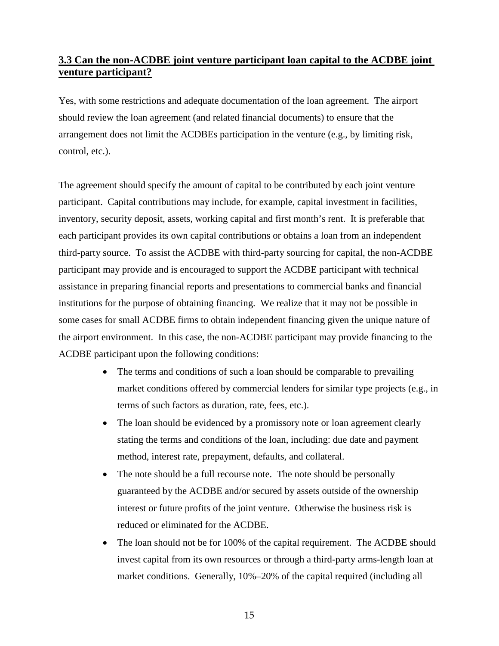#### **3.3 Can the non-ACDBE joint venture participant loan capital to the ACDBE joint venture participant?**

Yes, with some restrictions and adequate documentation of the loan agreement. The airport should review the loan agreement (and related financial documents) to ensure that the arrangement does not limit the ACDBEs participation in the venture (e.g., by limiting risk, control, etc.).

The agreement should specify the amount of capital to be contributed by each joint venture participant. Capital contributions may include, for example, capital investment in facilities, inventory, security deposit, assets, working capital and first month's rent. It is preferable that each participant provides its own capital contributions or obtains a loan from an independent third-party source. To assist the ACDBE with third-party sourcing for capital, the non-ACDBE participant may provide and is encouraged to support the ACDBE participant with technical assistance in preparing financial reports and presentations to commercial banks and financial institutions for the purpose of obtaining financing. We realize that it may not be possible in some cases for small ACDBE firms to obtain independent financing given the unique nature of the airport environment. In this case, the non-ACDBE participant may provide financing to the ACDBE participant upon the following conditions:

- The terms and conditions of such a loan should be comparable to prevailing market conditions offered by commercial lenders for similar type projects (e.g., in terms of such factors as duration, rate, fees, etc.).
- The loan should be evidenced by a promissory note or loan agreement clearly stating the terms and conditions of the loan, including: due date and payment method, interest rate, prepayment, defaults, and collateral.
- The note should be a full recourse note. The note should be personally guaranteed by the ACDBE and/or secured by assets outside of the ownership interest or future profits of the joint venture. Otherwise the business risk is reduced or eliminated for the ACDBE.
- The loan should not be for 100% of the capital requirement. The ACDBE should invest capital from its own resources or through a third-party arms-length loan at market conditions. Generally, 10%–20% of the capital required (including all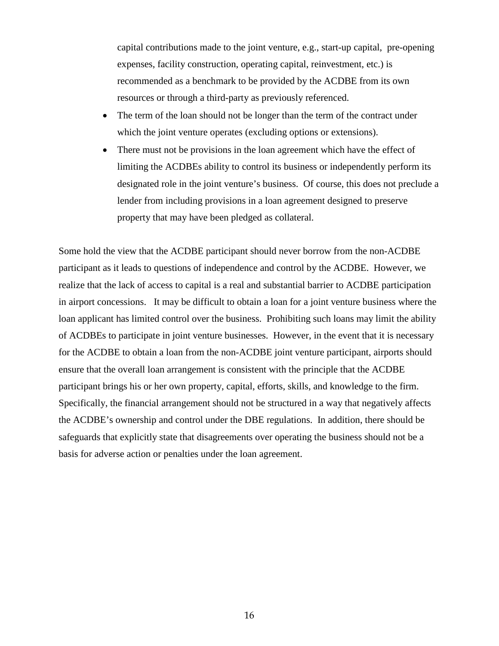capital contributions made to the joint venture, e.g., start-up capital, pre-opening expenses, facility construction, operating capital, reinvestment, etc.) is recommended as a benchmark to be provided by the ACDBE from its own resources or through a third-party as previously referenced.

- The term of the loan should not be longer than the term of the contract under which the joint venture operates (excluding options or extensions).
- There must not be provisions in the loan agreement which have the effect of limiting the ACDBEs ability to control its business or independently perform its designated role in the joint venture's business. Of course, this does not preclude a lender from including provisions in a loan agreement designed to preserve property that may have been pledged as collateral.

Some hold the view that the ACDBE participant should never borrow from the non-ACDBE participant as it leads to questions of independence and control by the ACDBE. However, we realize that the lack of access to capital is a real and substantial barrier to ACDBE participation in airport concessions. It may be difficult to obtain a loan for a joint venture business where the loan applicant has limited control over the business. Prohibiting such loans may limit the ability of ACDBEs to participate in joint venture businesses. However, in the event that it is necessary for the ACDBE to obtain a loan from the non-ACDBE joint venture participant, airports should ensure that the overall loan arrangement is consistent with the principle that the ACDBE participant brings his or her own property, capital, efforts, skills, and knowledge to the firm. Specifically, the financial arrangement should not be structured in a way that negatively affects the ACDBE's ownership and control under the DBE regulations. In addition, there should be safeguards that explicitly state that disagreements over operating the business should not be a basis for adverse action or penalties under the loan agreement.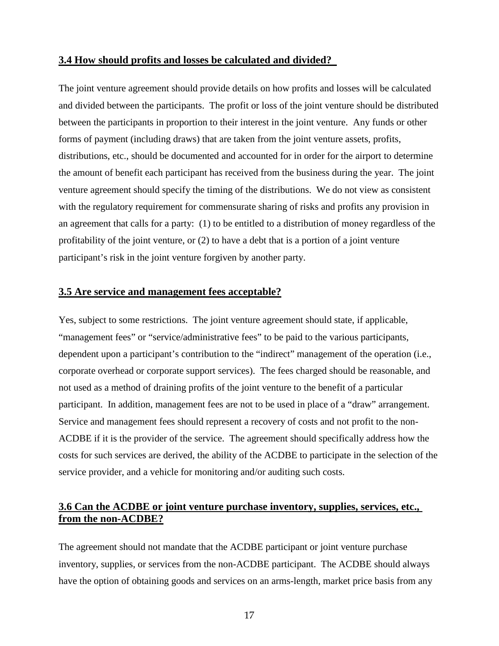#### **3.4 How should profits and losses be calculated and divided?**

The joint venture agreement should provide details on how profits and losses will be calculated and divided between the participants. The profit or loss of the joint venture should be distributed between the participants in proportion to their interest in the joint venture. Any funds or other forms of payment (including draws) that are taken from the joint venture assets, profits, distributions, etc., should be documented and accounted for in order for the airport to determine the amount of benefit each participant has received from the business during the year. The joint venture agreement should specify the timing of the distributions. We do not view as consistent with the regulatory requirement for commensurate sharing of risks and profits any provision in an agreement that calls for a party: (1) to be entitled to a distribution of money regardless of the profitability of the joint venture, or (2) to have a debt that is a portion of a joint venture participant's risk in the joint venture forgiven by another party.

#### **3.5 Are service and management fees acceptable?**

Yes, subject to some restrictions. The joint venture agreement should state, if applicable, "management fees" or "service/administrative fees" to be paid to the various participants, dependent upon a participant's contribution to the "indirect" management of the operation (i.e., corporate overhead or corporate support services). The fees charged should be reasonable, and not used as a method of draining profits of the joint venture to the benefit of a particular participant. In addition, management fees are not to be used in place of a "draw" arrangement. Service and management fees should represent a recovery of costs and not profit to the non-ACDBE if it is the provider of the service. The agreement should specifically address how the costs for such services are derived, the ability of the ACDBE to participate in the selection of the service provider, and a vehicle for monitoring and/or auditing such costs.

#### **3.6 Can the ACDBE or joint venture purchase inventory, supplies, services, etc., from the non-ACDBE?**

The agreement should not mandate that the ACDBE participant or joint venture purchase inventory, supplies, or services from the non-ACDBE participant. The ACDBE should always have the option of obtaining goods and services on an arms-length, market price basis from any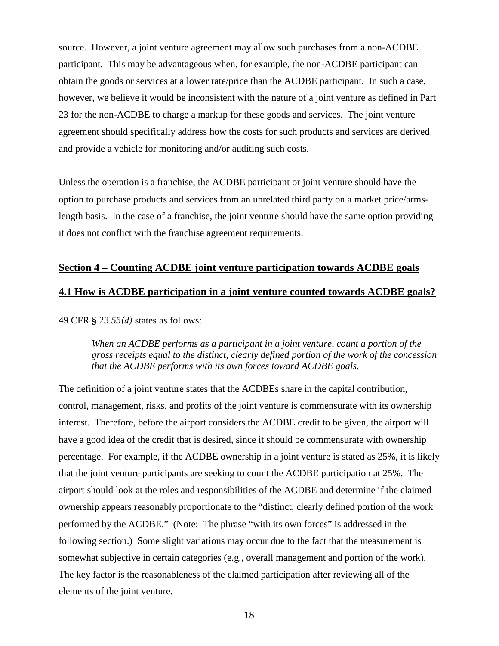source. However, a joint venture agreement may allow such purchases from a non-ACDBE participant. This may be advantageous when, for example, the non-ACDBE participant can obtain the goods or services at a lower rate/price than the ACDBE participant. In such a case, however, we believe it would be inconsistent with the nature of a joint venture as defined in Part 23 for the non-ACDBE to charge a markup for these goods and services. The joint venture agreement should specifically address how the costs for such products and services are derived and provide a vehicle for monitoring and/or auditing such costs.

Unless the operation is a franchise, the ACDBE participant or joint venture should have the option to purchase products and services from an unrelated third party on a market price/armslength basis. In the case of a franchise, the joint venture should have the same option providing it does not conflict with the franchise agreement requirements.

#### **Section 4 – Counting ACDBE joint venture participation towards ACDBE goals**

#### **4.1 How is ACDBE participation in a joint venture counted towards ACDBE goals?**

49 CFR § *23.55(d)* states as follows:

*When an ACDBE performs as a participant in a joint venture, count a portion of the gross receipts equal to the distinct, clearly defined portion of the work of the concession that the ACDBE performs with its own forces toward ACDBE goals.*

The definition of a joint venture states that the ACDBEs share in the capital contribution, control, management, risks, and profits of the joint venture is commensurate with its ownership interest. Therefore, before the airport considers the ACDBE credit to be given, the airport will have a good idea of the credit that is desired, since it should be commensurate with ownership percentage. For example, if the ACDBE ownership in a joint venture is stated as 25%, it is likely that the joint venture participants are seeking to count the ACDBE participation at 25%. The airport should look at the roles and responsibilities of the ACDBE and determine if the claimed ownership appears reasonably proportionate to the "distinct, clearly defined portion of the work performed by the ACDBE." (Note: The phrase "with its own forces" is addressed in the following section.) Some slight variations may occur due to the fact that the measurement is somewhat subjective in certain categories (e.g., overall management and portion of the work). The key factor is the reasonableness of the claimed participation after reviewing all of the elements of the joint venture.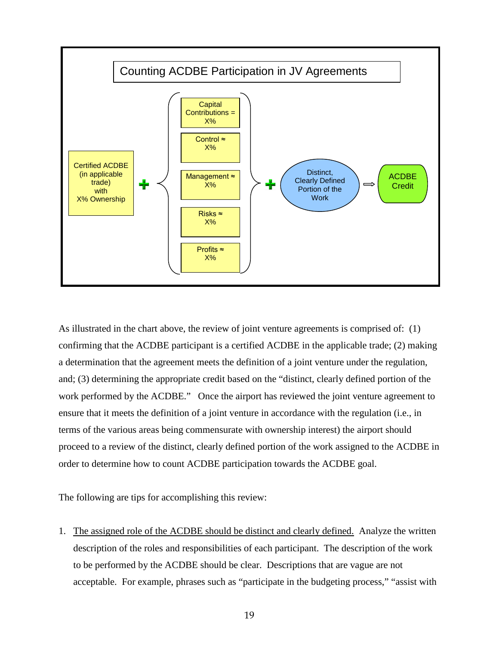

As illustrated in the chart above, the review of joint venture agreements is comprised of: (1) confirming that the ACDBE participant is a certified ACDBE in the applicable trade; (2) making a determination that the agreement meets the definition of a joint venture under the regulation, and; (3) determining the appropriate credit based on the "distinct, clearly defined portion of the work performed by the ACDBE." Once the airport has reviewed the joint venture agreement to ensure that it meets the definition of a joint venture in accordance with the regulation (i.e., in terms of the various areas being commensurate with ownership interest) the airport should proceed to a review of the distinct, clearly defined portion of the work assigned to the ACDBE in order to determine how to count ACDBE participation towards the ACDBE goal.

The following are tips for accomplishing this review:

1. The assigned role of the ACDBE should be distinct and clearly defined. Analyze the written description of the roles and responsibilities of each participant. The description of the work to be performed by the ACDBE should be clear. Descriptions that are vague are not acceptable. For example, phrases such as "participate in the budgeting process," "assist with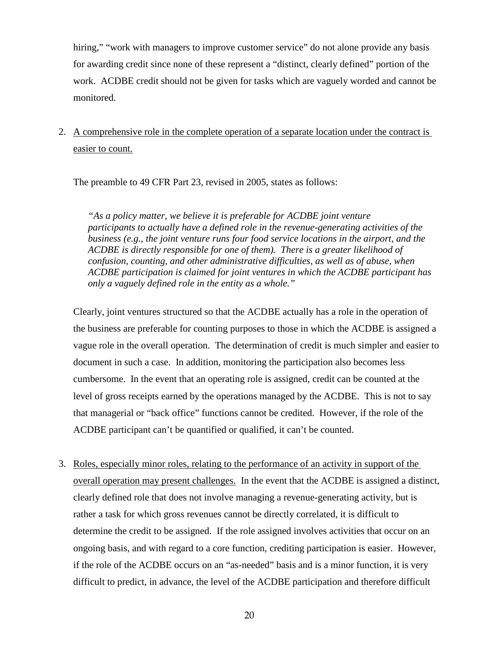hiring," "work with managers to improve customer service" do not alone provide any basis for awarding credit since none of these represent a "distinct, clearly defined" portion of the work. ACDBE credit should not be given for tasks which are vaguely worded and cannot be monitored.

#### 2. A comprehensive role in the complete operation of a separate location under the contract is easier to count.

The preamble to 49 CFR Part 23, revised in 2005, states as follows:

*"As a policy matter, we believe it is preferable for ACDBE joint venture participants to actually have a defined role in the revenue-generating activities of the business (e.g., the joint venture runs four food service locations in the airport, and the ACDBE is directly responsible for one of them). There is a greater likelihood of confusion, counting, and other administrative difficulties, as well as of abuse, when ACDBE participation is claimed for joint ventures in which the ACDBE participant has only a vaguely defined role in the entity as a whole."*

Clearly, joint ventures structured so that the ACDBE actually has a role in the operation of the business are preferable for counting purposes to those in which the ACDBE is assigned a vague role in the overall operation. The determination of credit is much simpler and easier to document in such a case. In addition, monitoring the participation also becomes less cumbersome. In the event that an operating role is assigned, credit can be counted at the level of gross receipts earned by the operations managed by the ACDBE. This is not to say that managerial or "back office" functions cannot be credited. However, if the role of the ACDBE participant can't be quantified or qualified, it can't be counted.

3. Roles, especially minor roles, relating to the performance of an activity in support of the overall operation may present challenges. In the event that the ACDBE is assigned a distinct, clearly defined role that does not involve managing a revenue-generating activity, but is rather a task for which gross revenues cannot be directly correlated, it is difficult to determine the credit to be assigned. If the role assigned involves activities that occur on an ongoing basis, and with regard to a core function, crediting participation is easier. However, if the role of the ACDBE occurs on an "as-needed" basis and is a minor function, it is very difficult to predict, in advance, the level of the ACDBE participation and therefore difficult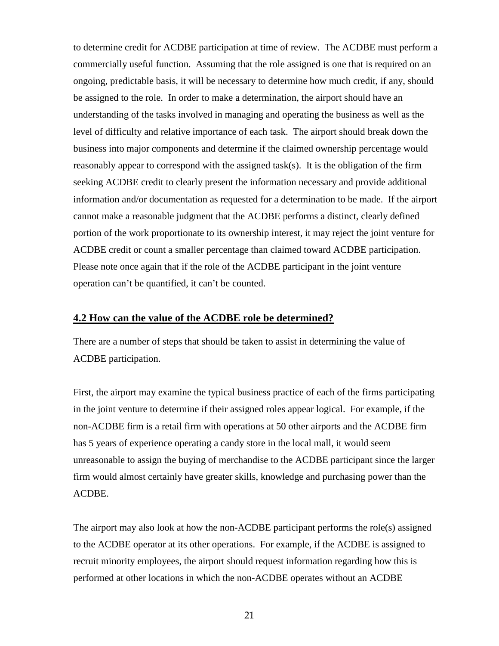to determine credit for ACDBE participation at time of review. The ACDBE must perform a commercially useful function. Assuming that the role assigned is one that is required on an ongoing, predictable basis, it will be necessary to determine how much credit, if any, should be assigned to the role. In order to make a determination, the airport should have an understanding of the tasks involved in managing and operating the business as well as the level of difficulty and relative importance of each task. The airport should break down the business into major components and determine if the claimed ownership percentage would reasonably appear to correspond with the assigned task(s). It is the obligation of the firm seeking ACDBE credit to clearly present the information necessary and provide additional information and/or documentation as requested for a determination to be made. If the airport cannot make a reasonable judgment that the ACDBE performs a distinct, clearly defined portion of the work proportionate to its ownership interest, it may reject the joint venture for ACDBE credit or count a smaller percentage than claimed toward ACDBE participation. Please note once again that if the role of the ACDBE participant in the joint venture operation can't be quantified, it can't be counted.

#### **4.2 How can the value of the ACDBE role be determined?**

There are a number of steps that should be taken to assist in determining the value of ACDBE participation.

First, the airport may examine the typical business practice of each of the firms participating in the joint venture to determine if their assigned roles appear logical. For example, if the non-ACDBE firm is a retail firm with operations at 50 other airports and the ACDBE firm has 5 years of experience operating a candy store in the local mall, it would seem unreasonable to assign the buying of merchandise to the ACDBE participant since the larger firm would almost certainly have greater skills, knowledge and purchasing power than the ACDBE.

The airport may also look at how the non-ACDBE participant performs the role(s) assigned to the ACDBE operator at its other operations. For example, if the ACDBE is assigned to recruit minority employees, the airport should request information regarding how this is performed at other locations in which the non-ACDBE operates without an ACDBE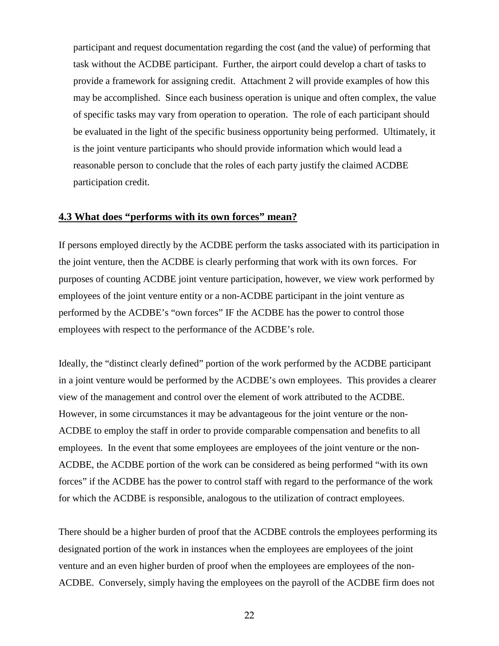participant and request documentation regarding the cost (and the value) of performing that task without the ACDBE participant. Further, the airport could develop a chart of tasks to provide a framework for assigning credit. Attachment 2 will provide examples of how this may be accomplished. Since each business operation is unique and often complex, the value of specific tasks may vary from operation to operation. The role of each participant should be evaluated in the light of the specific business opportunity being performed. Ultimately, it is the joint venture participants who should provide information which would lead a reasonable person to conclude that the roles of each party justify the claimed ACDBE participation credit.

#### **4.3 What does "performs with its own forces" mean?**

If persons employed directly by the ACDBE perform the tasks associated with its participation in the joint venture, then the ACDBE is clearly performing that work with its own forces. For purposes of counting ACDBE joint venture participation, however, we view work performed by employees of the joint venture entity or a non-ACDBE participant in the joint venture as performed by the ACDBE's "own forces" IF the ACDBE has the power to control those employees with respect to the performance of the ACDBE's role.

Ideally, the "distinct clearly defined" portion of the work performed by the ACDBE participant in a joint venture would be performed by the ACDBE's own employees. This provides a clearer view of the management and control over the element of work attributed to the ACDBE. However, in some circumstances it may be advantageous for the joint venture or the non-ACDBE to employ the staff in order to provide comparable compensation and benefits to all employees. In the event that some employees are employees of the joint venture or the non-ACDBE, the ACDBE portion of the work can be considered as being performed "with its own forces" if the ACDBE has the power to control staff with regard to the performance of the work for which the ACDBE is responsible, analogous to the utilization of contract employees.

There should be a higher burden of proof that the ACDBE controls the employees performing its designated portion of the work in instances when the employees are employees of the joint venture and an even higher burden of proof when the employees are employees of the non-ACDBE. Conversely, simply having the employees on the payroll of the ACDBE firm does not

22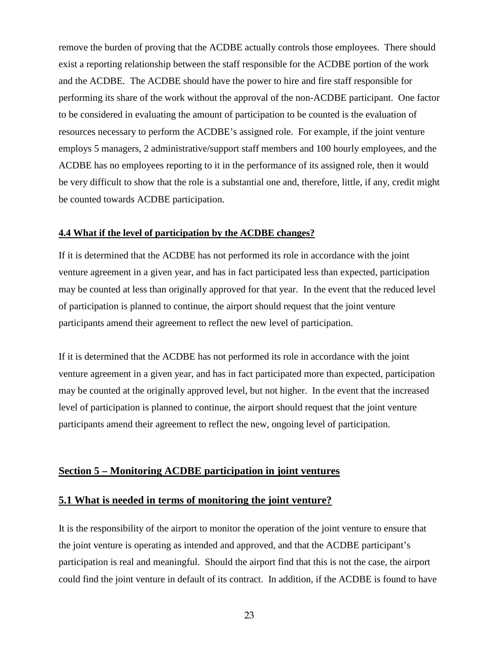remove the burden of proving that the ACDBE actually controls those employees. There should exist a reporting relationship between the staff responsible for the ACDBE portion of the work and the ACDBE. The ACDBE should have the power to hire and fire staff responsible for performing its share of the work without the approval of the non-ACDBE participant. One factor to be considered in evaluating the amount of participation to be counted is the evaluation of resources necessary to perform the ACDBE's assigned role. For example, if the joint venture employs 5 managers, 2 administrative/support staff members and 100 hourly employees, and the ACDBE has no employees reporting to it in the performance of its assigned role, then it would be very difficult to show that the role is a substantial one and, therefore, little, if any, credit might be counted towards ACDBE participation.

#### **4.4 What if the level of participation by the ACDBE changes?**

If it is determined that the ACDBE has not performed its role in accordance with the joint venture agreement in a given year, and has in fact participated less than expected, participation may be counted at less than originally approved for that year. In the event that the reduced level of participation is planned to continue, the airport should request that the joint venture participants amend their agreement to reflect the new level of participation.

If it is determined that the ACDBE has not performed its role in accordance with the joint venture agreement in a given year, and has in fact participated more than expected, participation may be counted at the originally approved level, but not higher. In the event that the increased level of participation is planned to continue, the airport should request that the joint venture participants amend their agreement to reflect the new, ongoing level of participation.

#### **Section 5 – Monitoring ACDBE participation in joint ventures**

#### **5.1 What is needed in terms of monitoring the joint venture?**

It is the responsibility of the airport to monitor the operation of the joint venture to ensure that the joint venture is operating as intended and approved, and that the ACDBE participant's participation is real and meaningful. Should the airport find that this is not the case, the airport could find the joint venture in default of its contract. In addition, if the ACDBE is found to have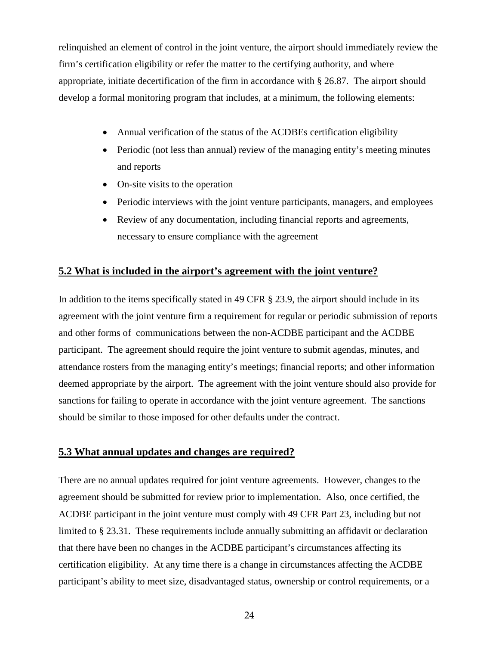relinquished an element of control in the joint venture, the airport should immediately review the firm's certification eligibility or refer the matter to the certifying authority, and where appropriate, initiate decertification of the firm in accordance with § 26.87. The airport should develop a formal monitoring program that includes, at a minimum, the following elements:

- Annual verification of the status of the ACDBEs certification eligibility
- Periodic (not less than annual) review of the managing entity's meeting minutes and reports
- On-site visits to the operation
- Periodic interviews with the joint venture participants, managers, and employees
- Review of any documentation, including financial reports and agreements, necessary to ensure compliance with the agreement

#### **5.2 What is included in the airport's agreement with the joint venture?**

In addition to the items specifically stated in 49 CFR § 23.9, the airport should include in its agreement with the joint venture firm a requirement for regular or periodic submission of reports and other forms of communications between the non-ACDBE participant and the ACDBE participant. The agreement should require the joint venture to submit agendas, minutes, and attendance rosters from the managing entity's meetings; financial reports; and other information deemed appropriate by the airport. The agreement with the joint venture should also provide for sanctions for failing to operate in accordance with the joint venture agreement. The sanctions should be similar to those imposed for other defaults under the contract.

#### **5.3 What annual updates and changes are required?**

There are no annual updates required for joint venture agreements. However, changes to the agreement should be submitted for review prior to implementation. Also, once certified, the ACDBE participant in the joint venture must comply with 49 CFR Part 23, including but not limited to § 23.31. These requirements include annually submitting an affidavit or declaration that there have been no changes in the ACDBE participant's circumstances affecting its certification eligibility. At any time there is a change in circumstances affecting the ACDBE participant's ability to meet size, disadvantaged status, ownership or control requirements, or a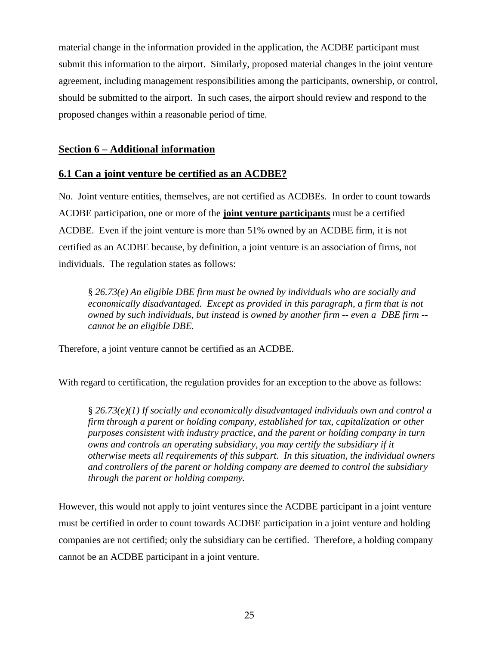material change in the information provided in the application, the ACDBE participant must submit this information to the airport. Similarly, proposed material changes in the joint venture agreement, including management responsibilities among the participants, ownership, or control, should be submitted to the airport. In such cases, the airport should review and respond to the proposed changes within a reasonable period of time.

#### **Section 6 – Additional information**

#### **6.1 Can a joint venture be certified as an ACDBE?**

No. Joint venture entities, themselves, are not certified as ACDBEs. In order to count towards ACDBE participation, one or more of the **joint venture participants** must be a certified ACDBE. Even if the joint venture is more than 51% owned by an ACDBE firm, it is not certified as an ACDBE because, by definition, a joint venture is an association of firms, not individuals. The regulation states as follows:

§ *26.73(e) An eligible DBE firm must be owned by individuals who are socially and economically disadvantaged. Except as provided in this paragraph, a firm that is not owned by such individuals, but instead is owned by another firm -- even a DBE firm - cannot be an eligible DBE.* 

Therefore, a joint venture cannot be certified as an ACDBE.

With regard to certification, the regulation provides for an exception to the above as follows:

§ *26.73(e)(1) If socially and economically disadvantaged individuals own and control a firm through a parent or holding company, established for tax, capitalization or other purposes consistent with industry practice, and the parent or holding company in turn owns and controls an operating subsidiary, you may certify the subsidiary if it otherwise meets all requirements of this subpart. In this situation, the individual owners and controllers of the parent or holding company are deemed to control the subsidiary through the parent or holding company.*

However, this would not apply to joint ventures since the ACDBE participant in a joint venture must be certified in order to count towards ACDBE participation in a joint venture and holding companies are not certified; only the subsidiary can be certified. Therefore, a holding company cannot be an ACDBE participant in a joint venture.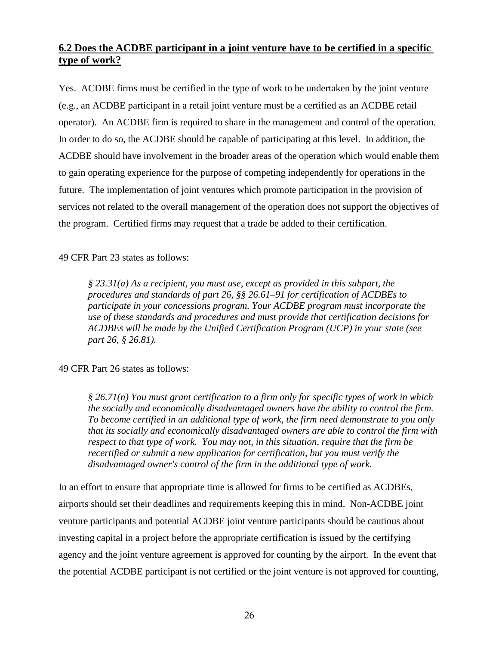#### **6.2 Does the ACDBE participant in a joint venture have to be certified in a specific type of work?**

Yes. ACDBE firms must be certified in the type of work to be undertaken by the joint venture (e.g., an ACDBE participant in a retail joint venture must be a certified as an ACDBE retail operator). An ACDBE firm is required to share in the management and control of the operation. In order to do so, the ACDBE should be capable of participating at this level. In addition, the ACDBE should have involvement in the broader areas of the operation which would enable them to gain operating experience for the purpose of competing independently for operations in the future. The implementation of joint ventures which promote participation in the provision of services not related to the overall management of the operation does not support the objectives of the program. Certified firms may request that a trade be added to their certification.

49 CFR Part 23 states as follows:

*§ 23.31(a) As a recipient, you must use, except as provided in this subpart, the procedures and standards of part 26, §§ 26.61–91 for certification of ACDBEs to participate in your concessions program. Your ACDBE program must incorporate the use of these standards and procedures and must provide that certification decisions for ACDBEs will be made by the Unified Certification Program (UCP) in your state (see part 26, § 26.81).*

49 CFR Part 26 states as follows:

*§ 26.71(n) You must grant certification to a firm only for specific types of work in which the socially and economically disadvantaged owners have the ability to control the firm. To become certified in an additional type of work, the firm need demonstrate to you only that its socially and economically disadvantaged owners are able to control the firm with respect to that type of work. You may not, in this situation, require that the firm be recertified or submit a new application for certification, but you must verify the disadvantaged owner's control of the firm in the additional type of work.*

In an effort to ensure that appropriate time is allowed for firms to be certified as ACDBEs, airports should set their deadlines and requirements keeping this in mind. Non-ACDBE joint venture participants and potential ACDBE joint venture participants should be cautious about investing capital in a project before the appropriate certification is issued by the certifying agency and the joint venture agreement is approved for counting by the airport. In the event that the potential ACDBE participant is not certified or the joint venture is not approved for counting,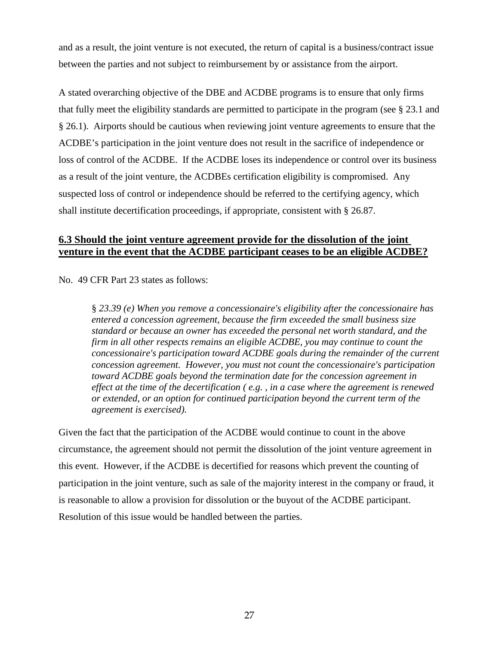and as a result, the joint venture is not executed, the return of capital is a business/contract issue between the parties and not subject to reimbursement by or assistance from the airport.

A stated overarching objective of the DBE and ACDBE programs is to ensure that only firms that fully meet the eligibility standards are permitted to participate in the program (see § 23.1 and § 26.1). Airports should be cautious when reviewing joint venture agreements to ensure that the ACDBE's participation in the joint venture does not result in the sacrifice of independence or loss of control of the ACDBE. If the ACDBE loses its independence or control over its business as a result of the joint venture, the ACDBEs certification eligibility is compromised. Any suspected loss of control or independence should be referred to the certifying agency, which shall institute decertification proceedings, if appropriate, consistent with § 26.87.

#### **6.3 Should the joint venture agreement provide for the dissolution of the joint venture in the event that the ACDBE participant ceases to be an eligible ACDBE?**

No. 49 CFR Part 23 states as follows:

§ *23.39 (e) When you remove a concessionaire's eligibility after the concessionaire has entered a concession agreement, because the firm exceeded the small business size standard or because an owner has exceeded the personal net worth standard, and the firm in all other respects remains an eligible ACDBE, you may continue to count the concessionaire's participation toward ACDBE goals during the remainder of the current concession agreement. However, you must not count the concessionaire's participation toward ACDBE goals beyond the termination date for the concession agreement in effect at the time of the decertification ( e.g. , in a case where the agreement is renewed or extended, or an option for continued participation beyond the current term of the agreement is exercised).*

Given the fact that the participation of the ACDBE would continue to count in the above circumstance, the agreement should not permit the dissolution of the joint venture agreement in this event. However, if the ACDBE is decertified for reasons which prevent the counting of participation in the joint venture, such as sale of the majority interest in the company or fraud, it is reasonable to allow a provision for dissolution or the buyout of the ACDBE participant. Resolution of this issue would be handled between the parties.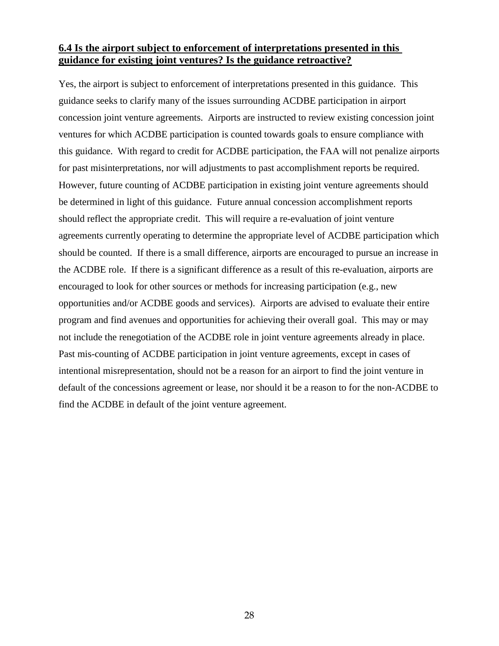#### **6.4 Is the airport subject to enforcement of interpretations presented in this guidance for existing joint ventures? Is the guidance retroactive?**

Yes, the airport is subject to enforcement of interpretations presented in this guidance. This guidance seeks to clarify many of the issues surrounding ACDBE participation in airport concession joint venture agreements. Airports are instructed to review existing concession joint ventures for which ACDBE participation is counted towards goals to ensure compliance with this guidance. With regard to credit for ACDBE participation, the FAA will not penalize airports for past misinterpretations, nor will adjustments to past accomplishment reports be required. However, future counting of ACDBE participation in existing joint venture agreements should be determined in light of this guidance. Future annual concession accomplishment reports should reflect the appropriate credit. This will require a re-evaluation of joint venture agreements currently operating to determine the appropriate level of ACDBE participation which should be counted. If there is a small difference, airports are encouraged to pursue an increase in the ACDBE role. If there is a significant difference as a result of this re-evaluation, airports are encouraged to look for other sources or methods for increasing participation (e.g., new opportunities and/or ACDBE goods and services). Airports are advised to evaluate their entire program and find avenues and opportunities for achieving their overall goal. This may or may not include the renegotiation of the ACDBE role in joint venture agreements already in place. Past mis-counting of ACDBE participation in joint venture agreements, except in cases of intentional misrepresentation, should not be a reason for an airport to find the joint venture in default of the concessions agreement or lease, nor should it be a reason to for the non-ACDBE to find the ACDBE in default of the joint venture agreement.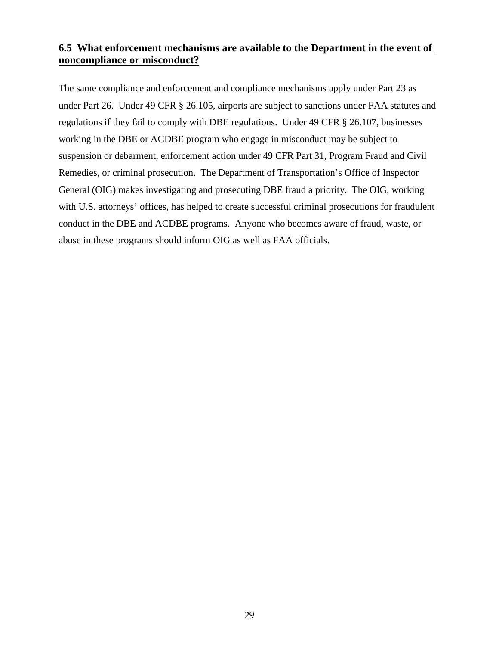#### **6.5 What enforcement mechanisms are available to the Department in the event of noncompliance or misconduct?**

The same compliance and enforcement and compliance mechanisms apply under Part 23 as under Part 26. Under 49 CFR § 26.105, airports are subject to sanctions under FAA statutes and regulations if they fail to comply with DBE regulations. Under 49 CFR § 26.107, businesses working in the DBE or ACDBE program who engage in misconduct may be subject to suspension or debarment, enforcement action under 49 CFR Part 31, Program Fraud and Civil Remedies, or criminal prosecution. The Department of Transportation's Office of Inspector General (OIG) makes investigating and prosecuting DBE fraud a priority. The OIG, working with U.S. attorneys' offices, has helped to create successful criminal prosecutions for fraudulent conduct in the DBE and ACDBE programs. Anyone who becomes aware of fraud, waste, or abuse in these programs should inform OIG as well as FAA officials.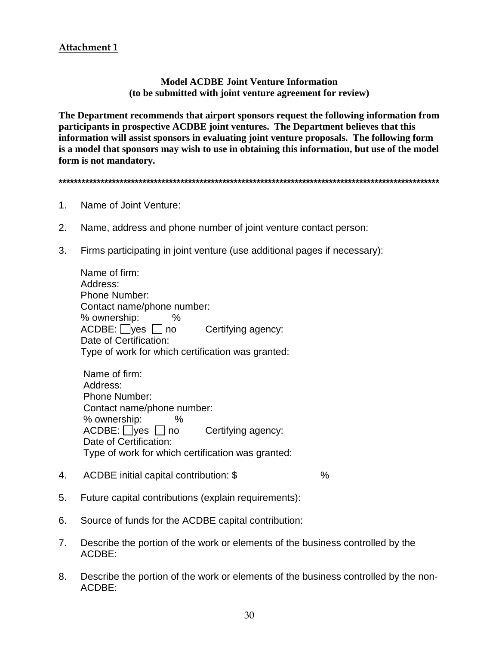#### **Attachment 1**

#### **Model ACDBE Joint Venture Information (to be submitted with joint venture agreement for review)**

**The Department recommends that airport sponsors request the following information from participants in prospective ACDBE joint ventures. The Department believes that this information will assist sponsors in evaluating joint venture proposals. The following form is a model that sponsors may wish to use in obtaining this information, but use of the model form is not mandatory.** 

**\*\*\*\*\*\*\*\*\*\*\*\*\*\*\*\*\*\*\*\*\*\*\*\*\*\*\*\*\*\*\*\*\*\*\*\*\*\*\*\*\*\*\*\*\*\*\*\*\*\*\*\*\*\*\*\*\*\*\*\*\*\*\*\*\*\*\*\*\*\*\*\*\*\*\*\*\*\*\*\*\*\*\*\*\*\*\*\*\*\*\*\*\*\*\*\*\*\*\*\***

- 1. Name of Joint Venture:
- 2. Name, address and phone number of joint venture contact person:
- 3. Firms participating in joint venture (use additional pages if necessary):

Name of firm: Address: Phone Number: Contact name/phone number: % ownership: %  $ACDBE:$  yes no Certifying agency: Date of Certification: Type of work for which certification was granted:

Name of firm: Address: Phone Number: Contact name/phone number: % ownership: %  $ACDBE:$  yes no Certifying agency: Date of Certification: Type of work for which certification was granted:

- 4. ACDBE initial capital contribution: \$ %
- 5. Future capital contributions (explain requirements):
- 6. Source of funds for the ACDBE capital contribution:
- 7. Describe the portion of the work or elements of the business controlled by the ACDBE:
- 8. Describe the portion of the work or elements of the business controlled by the non-ACDBE: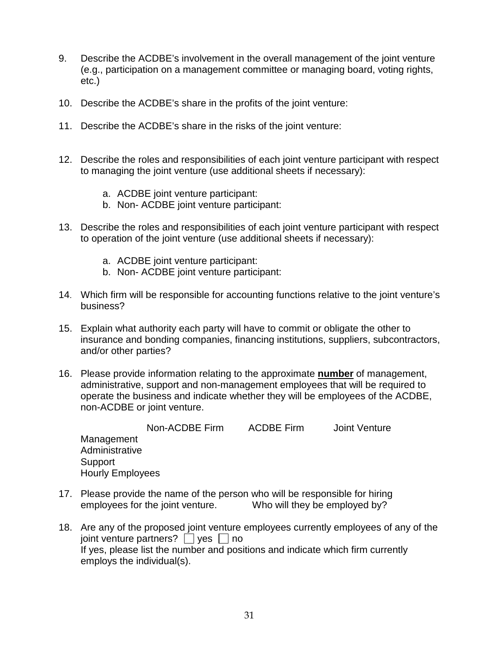- 9. Describe the ACDBE's involvement in the overall management of the joint venture (e.g., participation on a management committee or managing board, voting rights, etc.)
- 10. Describe the ACDBE's share in the profits of the joint venture:
- 11. Describe the ACDBE's share in the risks of the joint venture:
- 12. Describe the roles and responsibilities of each joint venture participant with respect to managing the joint venture (use additional sheets if necessary):
	- a. ACDBE joint venture participant:
	- b. Non- ACDBE joint venture participant:
- 13. Describe the roles and responsibilities of each joint venture participant with respect to operation of the joint venture (use additional sheets if necessary):
	- a. ACDBE joint venture participant:
	- b. Non- ACDBE joint venture participant:
- 14. Which firm will be responsible for accounting functions relative to the joint venture's business?
- 15. Explain what authority each party will have to commit or obligate the other to insurance and bonding companies, financing institutions, suppliers, subcontractors, and/or other parties?
- 16. Please provide information relating to the approximate **number** of management, administrative, support and non-management employees that will be required to operate the business and indicate whether they will be employees of the ACDBE, non-ACDBE or joint venture.

Non-ACDBE Firm ACDBE Firm Joint Venture Management Administrative **Support** Hourly Employees

- 17. Please provide the name of the person who will be responsible for hiring employees for the joint venture. Who will they be employed by?
- 18. Are any of the proposed joint venture employees currently employees of any of the joint venture partners?  $\Box$  yes  $\Box$  no If yes, please list the number and positions and indicate which firm currently employs the individual(s).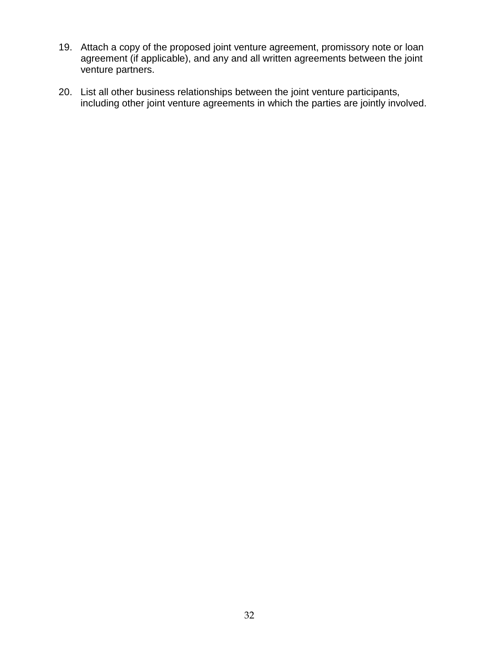- 19. Attach a copy of the proposed joint venture agreement, promissory note or loan agreement (if applicable), and any and all written agreements between the joint venture partners.
- 20. List all other business relationships between the joint venture participants, including other joint venture agreements in which the parties are jointly involved.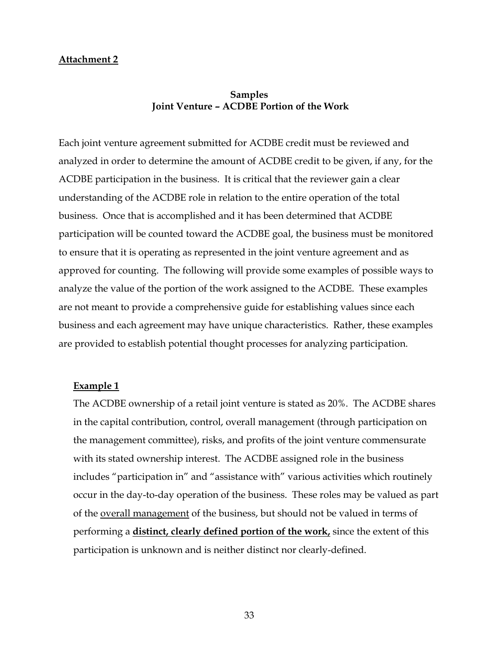#### **Attachment 2**

#### **Samples Joint Venture – ACDBE Portion of the Work**

Each joint venture agreement submitted for ACDBE credit must be reviewed and analyzed in order to determine the amount of ACDBE credit to be given, if any, for the ACDBE participation in the business. It is critical that the reviewer gain a clear understanding of the ACDBE role in relation to the entire operation of the total business. Once that is accomplished and it has been determined that ACDBE participation will be counted toward the ACDBE goal, the business must be monitored to ensure that it is operating as represented in the joint venture agreement and as approved for counting. The following will provide some examples of possible ways to analyze the value of the portion of the work assigned to the ACDBE. These examples are not meant to provide a comprehensive guide for establishing values since each business and each agreement may have unique characteristics. Rather, these examples are provided to establish potential thought processes for analyzing participation.

#### **Example 1**

The ACDBE ownership of a retail joint venture is stated as 20%. The ACDBE shares in the capital contribution, control, overall management (through participation on the management committee), risks, and profits of the joint venture commensurate with its stated ownership interest. The ACDBE assigned role in the business includes "participation in" and "assistance with" various activities which routinely occur in the day-to-day operation of the business. These roles may be valued as part of the overall management of the business, but should not be valued in terms of performing a **distinct, clearly defined portion of the work,** since the extent of this participation is unknown and is neither distinct nor clearly-defined.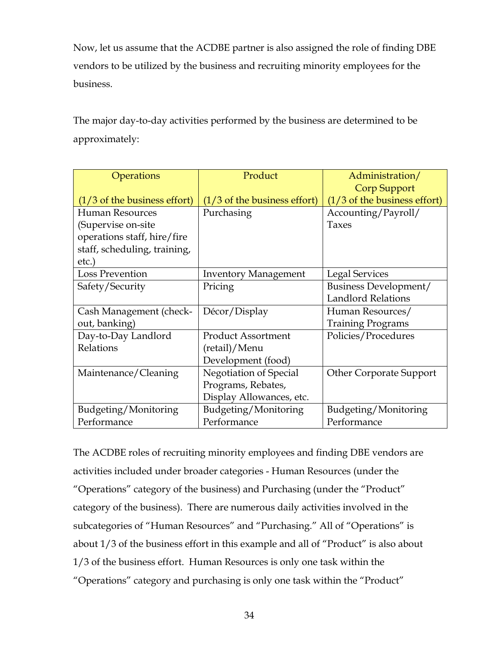Now, let us assume that the ACDBE partner is also assigned the role of finding DBE vendors to be utilized by the business and recruiting minority employees for the business.

The major day-to-day activities performed by the business are determined to be approximately:

| Operations                      | Product                         | Administration/                 |
|---------------------------------|---------------------------------|---------------------------------|
|                                 |                                 | <b>Corp Support</b>             |
| $(1/3)$ of the business effort) | $(1/3)$ of the business effort) | $(1/3)$ of the business effort) |
| <b>Human Resources</b>          | Purchasing                      | Accounting/Payroll/             |
| (Supervise on-site              |                                 | <b>Taxes</b>                    |
| operations staff, hire/fire     |                                 |                                 |
| staff, scheduling, training,    |                                 |                                 |
| etc.)                           |                                 |                                 |
| <b>Loss Prevention</b>          | <b>Inventory Management</b>     | <b>Legal Services</b>           |
| Safety/Security                 | Pricing                         | Business Development/           |
|                                 |                                 | <b>Landlord Relations</b>       |
| Cash Management (check-         | Décor/Display                   | Human Resources/                |
| out, banking)                   |                                 | <b>Training Programs</b>        |
| Day-to-Day Landlord             | <b>Product Assortment</b>       | Policies/Procedures             |
| Relations                       | (retail)/Menu                   |                                 |
|                                 | Development (food)              |                                 |
| Maintenance/Cleaning            | Negotiation of Special          | <b>Other Corporate Support</b>  |
|                                 | Programs, Rebates,              |                                 |
|                                 | Display Allowances, etc.        |                                 |
| Budgeting/Monitoring            | Budgeting/Monitoring            | Budgeting/Monitoring            |
| Performance                     | Performance                     | Performance                     |

The ACDBE roles of recruiting minority employees and finding DBE vendors are activities included under broader categories - Human Resources (under the "Operations" category of the business) and Purchasing (under the "Product" category of the business). There are numerous daily activities involved in the subcategories of "Human Resources" and "Purchasing." All of "Operations" is about 1/3 of the business effort in this example and all of "Product" is also about 1/3 of the business effort. Human Resources is only one task within the "Operations" category and purchasing is only one task within the "Product"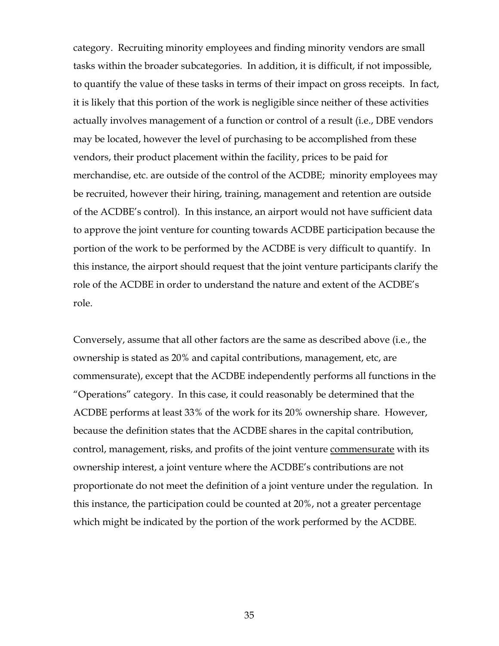category. Recruiting minority employees and finding minority vendors are small tasks within the broader subcategories. In addition, it is difficult, if not impossible, to quantify the value of these tasks in terms of their impact on gross receipts. In fact, it is likely that this portion of the work is negligible since neither of these activities actually involves management of a function or control of a result (i.e., DBE vendors may be located, however the level of purchasing to be accomplished from these vendors, their product placement within the facility, prices to be paid for merchandise, etc. are outside of the control of the ACDBE; minority employees may be recruited, however their hiring, training, management and retention are outside of the ACDBE's control). In this instance, an airport would not have sufficient data to approve the joint venture for counting towards ACDBE participation because the portion of the work to be performed by the ACDBE is very difficult to quantify. In this instance, the airport should request that the joint venture participants clarify the role of the ACDBE in order to understand the nature and extent of the ACDBE's role.

Conversely, assume that all other factors are the same as described above (i.e., the ownership is stated as 20% and capital contributions, management, etc, are commensurate), except that the ACDBE independently performs all functions in the "Operations" category. In this case, it could reasonably be determined that the ACDBE performs at least 33% of the work for its 20% ownership share. However, because the definition states that the ACDBE shares in the capital contribution, control, management, risks, and profits of the joint venture commensurate with its ownership interest, a joint venture where the ACDBE's contributions are not proportionate do not meet the definition of a joint venture under the regulation. In this instance, the participation could be counted at 20%, not a greater percentage which might be indicated by the portion of the work performed by the ACDBE.

35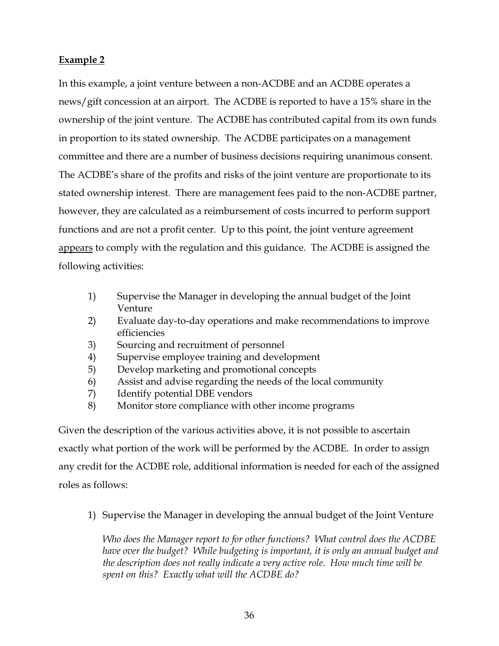#### **Example 2**

In this example, a joint venture between a non-ACDBE and an ACDBE operates a news/gift concession at an airport. The ACDBE is reported to have a 15% share in the ownership of the joint venture. The ACDBE has contributed capital from its own funds in proportion to its stated ownership. The ACDBE participates on a management committee and there are a number of business decisions requiring unanimous consent. The ACDBE's share of the profits and risks of the joint venture are proportionate to its stated ownership interest. There are management fees paid to the non-ACDBE partner, however, they are calculated as a reimbursement of costs incurred to perform support functions and are not a profit center. Up to this point, the joint venture agreement appears to comply with the regulation and this guidance. The ACDBE is assigned the following activities:

- 1) Supervise the Manager in developing the annual budget of the Joint Venture
- 2) Evaluate day-to-day operations and make recommendations to improve efficiencies
- 3) Sourcing and recruitment of personnel
- 4) Supervise employee training and development
- 5) Develop marketing and promotional concepts
- 6) Assist and advise regarding the needs of the local community
- 7) Identify potential DBE vendors
- 8) Monitor store compliance with other income programs

Given the description of the various activities above, it is not possible to ascertain exactly what portion of the work will be performed by the ACDBE. In order to assign any credit for the ACDBE role, additional information is needed for each of the assigned roles as follows:

1) Supervise the Manager in developing the annual budget of the Joint Venture

*Who does the Manager report to for other functions? What control does the ACDBE*  have over the budget? While budgeting is important, it is only an annual budget and *the description does not really indicate a very active role. How much time will be spent on this? Exactly what will the ACDBE do?*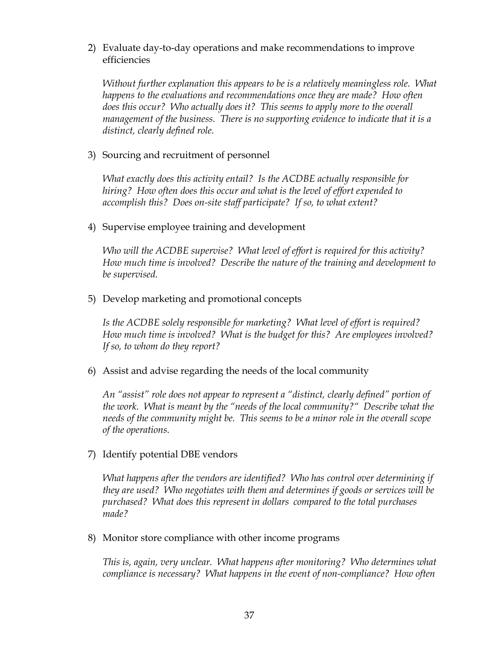2) Evaluate day-to-day operations and make recommendations to improve efficiencies

*Without further explanation this appears to be is a relatively meaningless role. What happens to the evaluations and recommendations once they are made? How often does this occur? Who actually does it? This seems to apply more to the overall management of the business. There is no supporting evidence to indicate that it is a distinct, clearly defined role.*

3) Sourcing and recruitment of personnel

*What exactly does this activity entail? Is the ACDBE actually responsible for hiring? How often does this occur and what is the level of effort expended to accomplish this? Does on-site staff participate? If so, to what extent?*

4) Supervise employee training and development

*Who will the ACDBE supervise? What level of effort is required for this activity? How much time is involved? Describe the nature of the training and development to be supervised.* 

5) Develop marketing and promotional concepts

*Is the ACDBE solely responsible for marketing? What level of effort is required? How much time is involved? What is the budget for this? Are employees involved? If so, to whom do they report?*

6) Assist and advise regarding the needs of the local community

*An "assist" role does not appear to represent a "distinct, clearly defined" portion of the work. What is meant by the "needs of the local community?" Describe what the needs of the community might be. This seems to be a minor role in the overall scope of the operations.*

7) Identify potential DBE vendors

*What happens after the vendors are identified? Who has control over determining if they are used? Who negotiates with them and determines if goods or services will be purchased? What does this represent in dollars compared to the total purchases made?*

8) Monitor store compliance with other income programs

*This is, again, very unclear. What happens after monitoring? Who determines what compliance is necessary? What happens in the event of non-compliance? How often*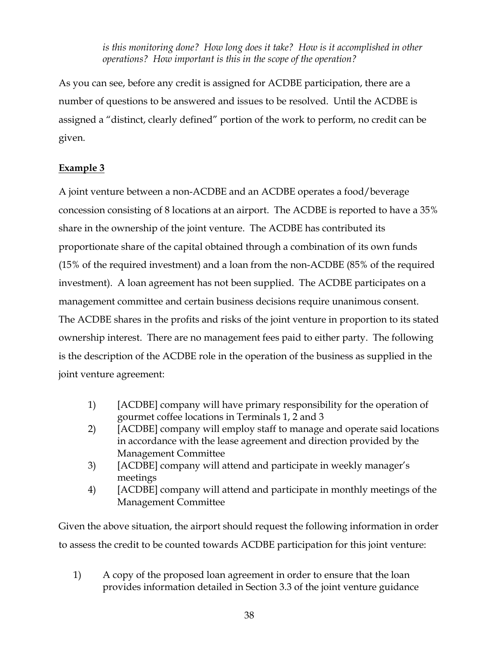*is this monitoring done? How long does it take? How is it accomplished in other operations? How important is this in the scope of the operation?*

As you can see, before any credit is assigned for ACDBE participation, there are a number of questions to be answered and issues to be resolved. Until the ACDBE is assigned a "distinct, clearly defined" portion of the work to perform, no credit can be given.

#### **Example 3**

A joint venture between a non-ACDBE and an ACDBE operates a food/beverage concession consisting of 8 locations at an airport. The ACDBE is reported to have a 35% share in the ownership of the joint venture. The ACDBE has contributed its proportionate share of the capital obtained through a combination of its own funds (15% of the required investment) and a loan from the non-ACDBE (85% of the required investment). A loan agreement has not been supplied. The ACDBE participates on a management committee and certain business decisions require unanimous consent. The ACDBE shares in the profits and risks of the joint venture in proportion to its stated ownership interest. There are no management fees paid to either party. The following is the description of the ACDBE role in the operation of the business as supplied in the joint venture agreement:

- 1) [ACDBE] company will have primary responsibility for the operation of gourmet coffee locations in Terminals 1, 2 and 3
- 2) [ACDBE] company will employ staff to manage and operate said locations in accordance with the lease agreement and direction provided by the Management Committee
- 3) [ACDBE] company will attend and participate in weekly manager's meetings
- 4) [ACDBE] company will attend and participate in monthly meetings of the Management Committee

Given the above situation, the airport should request the following information in order to assess the credit to be counted towards ACDBE participation for this joint venture:

1) A copy of the proposed loan agreement in order to ensure that the loan provides information detailed in Section 3.3 of the joint venture guidance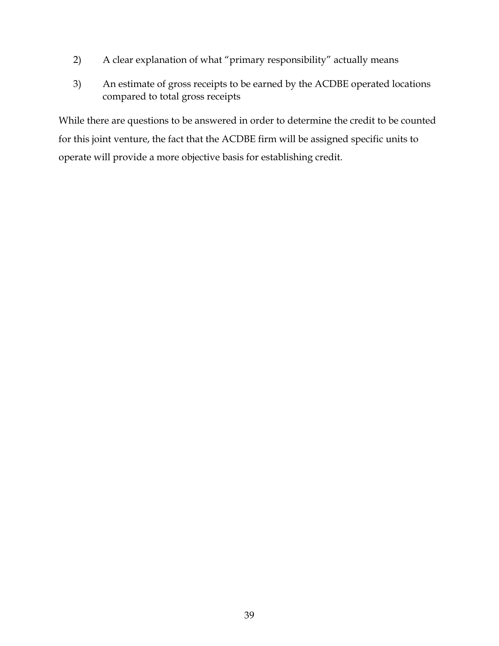- 2) A clear explanation of what "primary responsibility" actually means
- 3) An estimate of gross receipts to be earned by the ACDBE operated locations compared to total gross receipts

While there are questions to be answered in order to determine the credit to be counted for this joint venture, the fact that the ACDBE firm will be assigned specific units to operate will provide a more objective basis for establishing credit.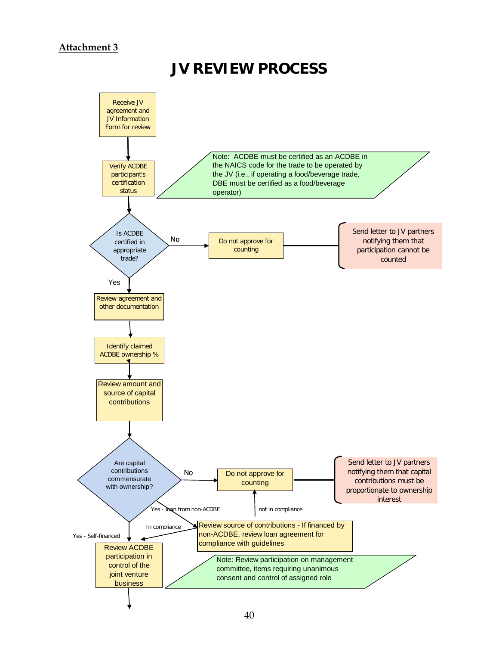#### **Attachment 3**

#### **JV REVIEW PROCESS**

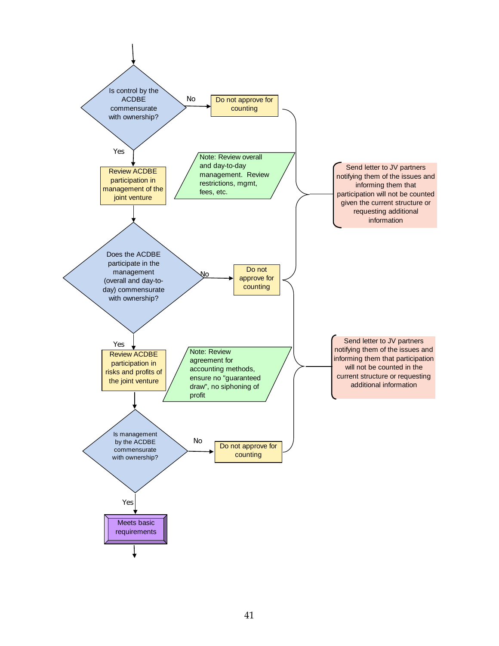